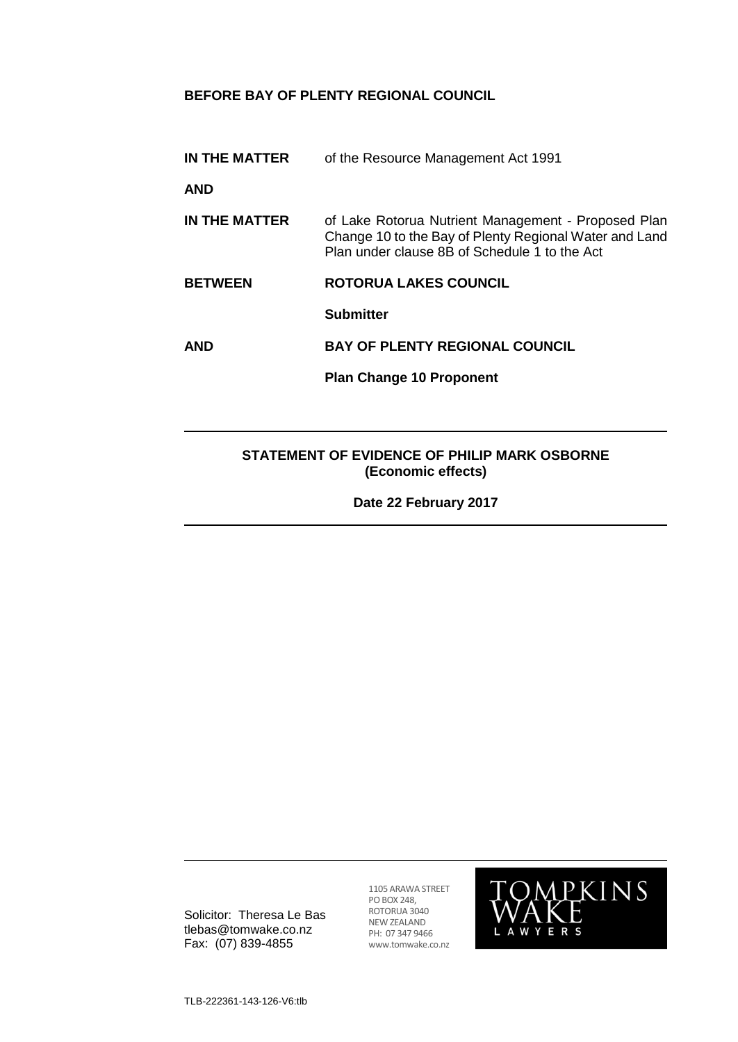# **BEFORE BAY OF PLENTY REGIONAL COUNCIL**

| IN THE MATTER                                | of the Resource Management Act 1991                                                                                                                            |
|----------------------------------------------|----------------------------------------------------------------------------------------------------------------------------------------------------------------|
| AND                                          |                                                                                                                                                                |
| IN THE MATTER                                | of Lake Rotorua Nutrient Management - Proposed Plan<br>Change 10 to the Bay of Plenty Regional Water and Land<br>Plan under clause 8B of Schedule 1 to the Act |
| <b>BETWEEN</b>                               | <b>ROTORUA LAKES COUNCIL</b>                                                                                                                                   |
|                                              | <b>Submitter</b>                                                                                                                                               |
| AND                                          | <b>BAY OF PLENTY REGIONAL COUNCIL</b>                                                                                                                          |
|                                              | <b>Plan Change 10 Proponent</b>                                                                                                                                |
|                                              |                                                                                                                                                                |
| STATEMENT OF EVIDENCE OF PHILIP MARK OSBORNE |                                                                                                                                                                |

**Date 22 February 2017**

**(Economic effects)**

Solicitor: Theresa Le Bas tlebas@tomwake.co.nz Fax: (07) 839-4855

1105 ARAWA STREET PO BOX 248, ROTORUA 3040 NEW ZEALAND PH: 07 347 9466 www.tomwake.co.nz

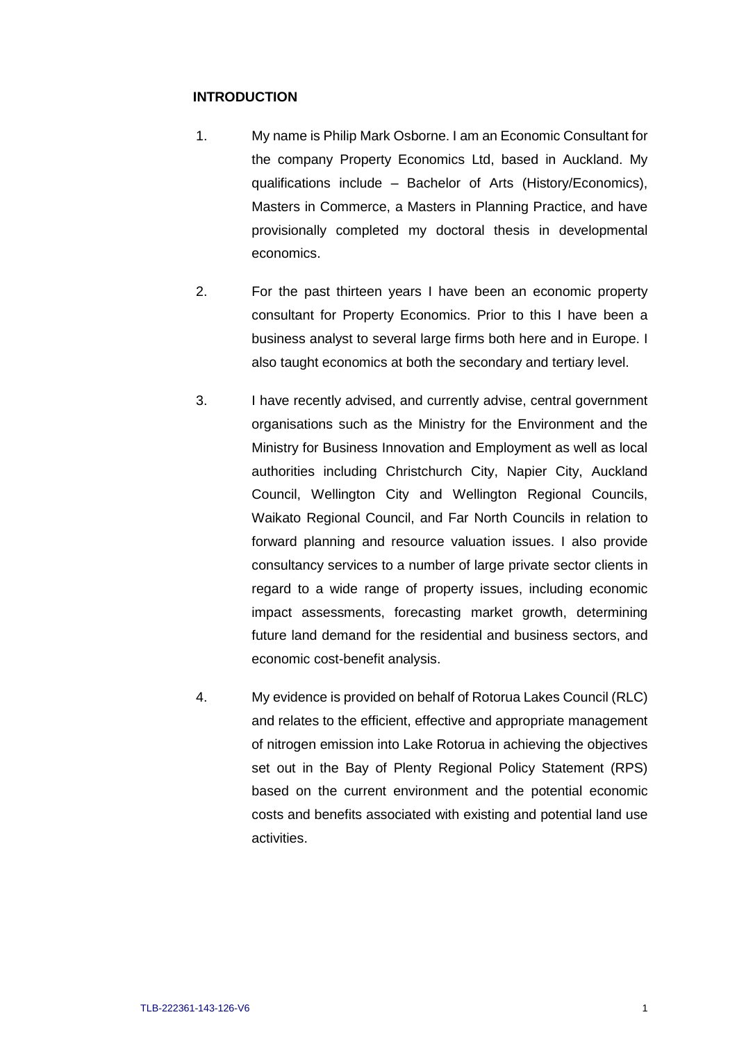### **INTRODUCTION**

- 1. My name is Philip Mark Osborne. I am an Economic Consultant for the company Property Economics Ltd, based in Auckland. My qualifications include – Bachelor of Arts (History/Economics), Masters in Commerce, a Masters in Planning Practice, and have provisionally completed my doctoral thesis in developmental economics.
- 2. For the past thirteen years I have been an economic property consultant for Property Economics. Prior to this I have been a business analyst to several large firms both here and in Europe. I also taught economics at both the secondary and tertiary level.
- 3. I have recently advised, and currently advise, central government organisations such as the Ministry for the Environment and the Ministry for Business Innovation and Employment as well as local authorities including Christchurch City, Napier City, Auckland Council, Wellington City and Wellington Regional Councils, Waikato Regional Council, and Far North Councils in relation to forward planning and resource valuation issues. I also provide consultancy services to a number of large private sector clients in regard to a wide range of property issues, including economic impact assessments, forecasting market growth, determining future land demand for the residential and business sectors, and economic cost-benefit analysis.
- 4. My evidence is provided on behalf of Rotorua Lakes Council (RLC) and relates to the efficient, effective and appropriate management of nitrogen emission into Lake Rotorua in achieving the objectives set out in the Bay of Plenty Regional Policy Statement (RPS) based on the current environment and the potential economic costs and benefits associated with existing and potential land use activities.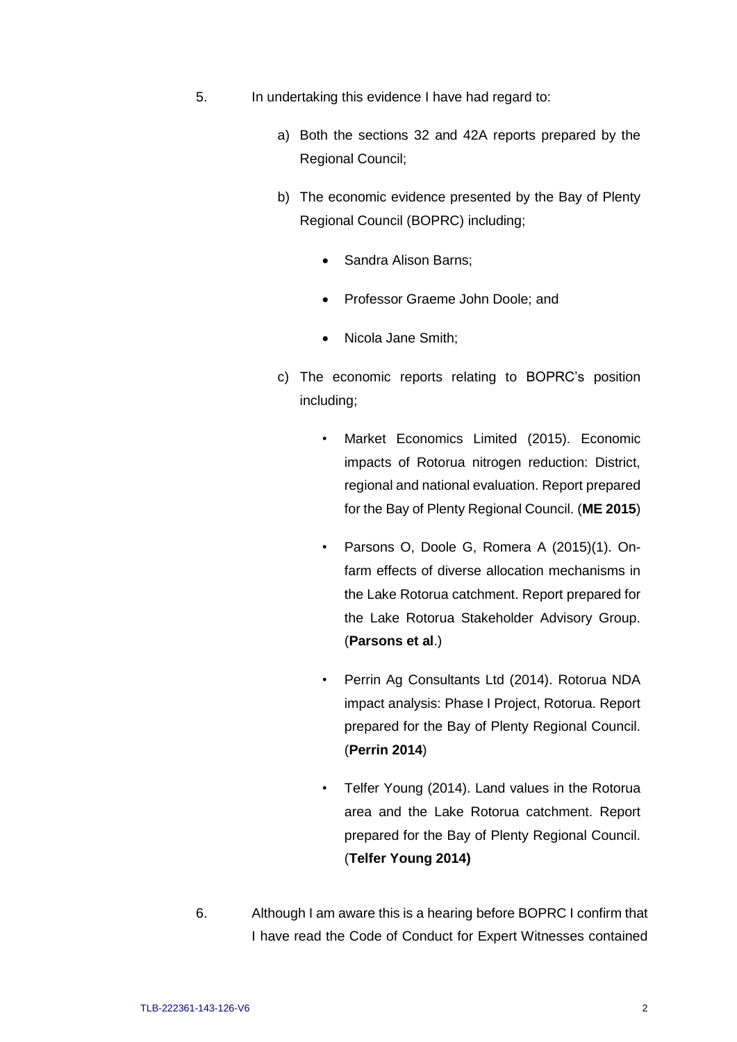- 5. In undertaking this evidence I have had regard to:
	- a) Both the sections 32 and 42A reports prepared by the Regional Council;
	- b) The economic evidence presented by the Bay of Plenty Regional Council (BOPRC) including;
		- Sandra Alison Barns;
		- Professor Graeme John Doole; and
		- Nicola Jane Smith;
	- c) The economic reports relating to BOPRC's position including;
		- Market Economics Limited (2015). Economic impacts of Rotorua nitrogen reduction: District, regional and national evaluation. Report prepared for the Bay of Plenty Regional Council. (**ME 2015**)
		- Parsons O, Doole G, Romera A (2015)(1). Onfarm effects of diverse allocation mechanisms in the Lake Rotorua catchment. Report prepared for the Lake Rotorua Stakeholder Advisory Group. (**Parsons et al**.)
		- Perrin Ag Consultants Ltd (2014). Rotorua NDA impact analysis: Phase I Project, Rotorua. Report prepared for the Bay of Plenty Regional Council. (**Perrin 2014**)
		- Telfer Young (2014). Land values in the Rotorua area and the Lake Rotorua catchment. Report prepared for the Bay of Plenty Regional Council. (**Telfer Young 2014)**
- 6. Although I am aware this is a hearing before BOPRC I confirm that I have read the Code of Conduct for Expert Witnesses contained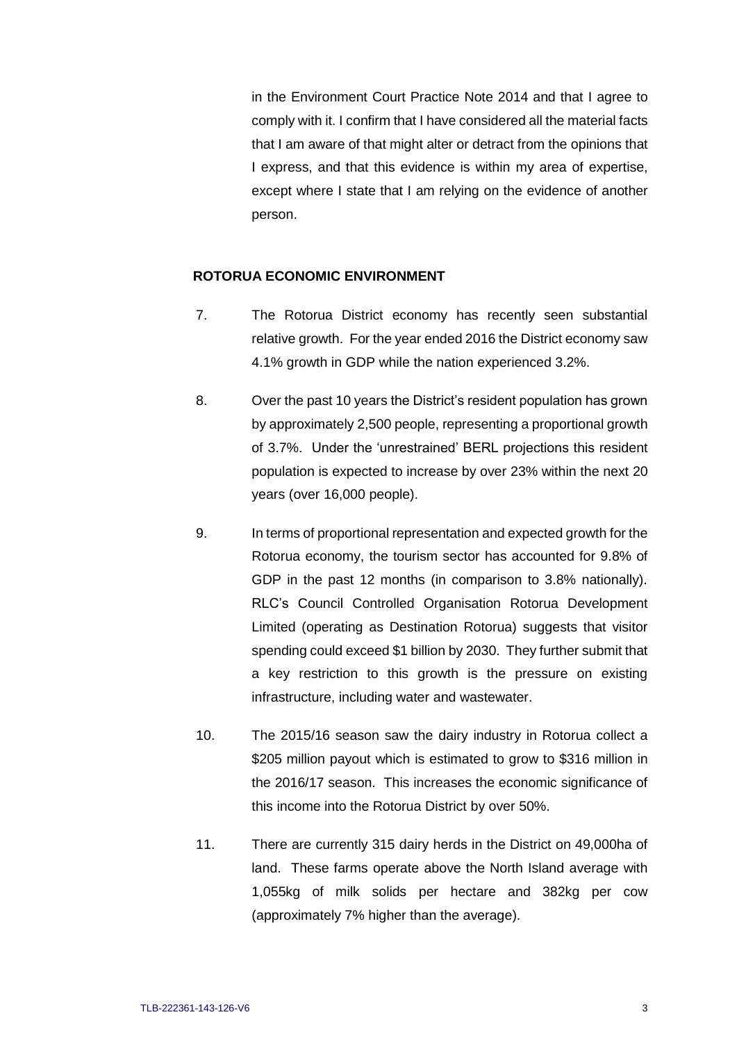in the Environment Court Practice Note 2014 and that I agree to comply with it. I confirm that I have considered all the material facts that I am aware of that might alter or detract from the opinions that I express, and that this evidence is within my area of expertise, except where I state that I am relying on the evidence of another person.

#### **ROTORUA ECONOMIC ENVIRONMENT**

- 7. The Rotorua District economy has recently seen substantial relative growth. For the year ended 2016 the District economy saw 4.1% growth in GDP while the nation experienced 3.2%.
- 8. Over the past 10 years the District's resident population has grown by approximately 2,500 people, representing a proportional growth of 3.7%. Under the 'unrestrained' BERL projections this resident population is expected to increase by over 23% within the next 20 years (over 16,000 people).
- 9. In terms of proportional representation and expected growth for the Rotorua economy, the tourism sector has accounted for 9.8% of GDP in the past 12 months (in comparison to 3.8% nationally). RLC's Council Controlled Organisation Rotorua Development Limited (operating as Destination Rotorua) suggests that visitor spending could exceed \$1 billion by 2030. They further submit that a key restriction to this growth is the pressure on existing infrastructure, including water and wastewater.
- 10. The 2015/16 season saw the dairy industry in Rotorua collect a \$205 million payout which is estimated to grow to \$316 million in the 2016/17 season. This increases the economic significance of this income into the Rotorua District by over 50%.
- 11. There are currently 315 dairy herds in the District on 49,000ha of land. These farms operate above the North Island average with 1,055kg of milk solids per hectare and 382kg per cow (approximately 7% higher than the average).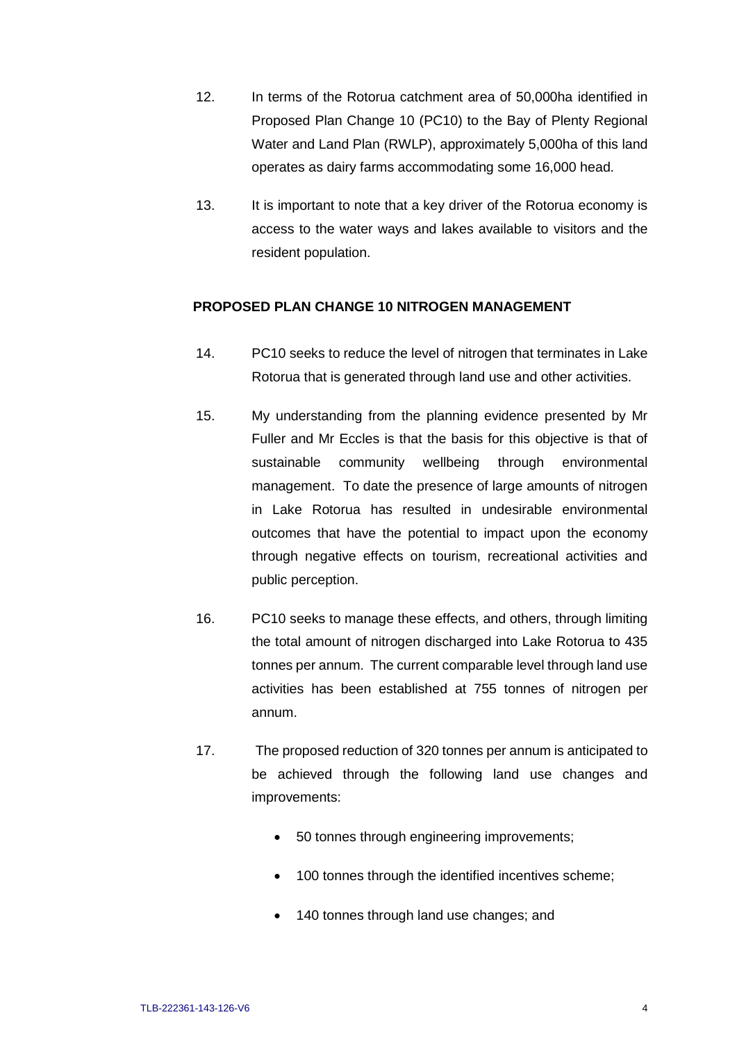- 12. In terms of the Rotorua catchment area of 50,000ha identified in Proposed Plan Change 10 (PC10) to the Bay of Plenty Regional Water and Land Plan (RWLP), approximately 5,000ha of this land operates as dairy farms accommodating some 16,000 head.
- 13. It is important to note that a key driver of the Rotorua economy is access to the water ways and lakes available to visitors and the resident population.

## **PROPOSED PLAN CHANGE 10 NITROGEN MANAGEMENT**

- 14. PC10 seeks to reduce the level of nitrogen that terminates in Lake Rotorua that is generated through land use and other activities.
- 15. My understanding from the planning evidence presented by Mr Fuller and Mr Eccles is that the basis for this objective is that of sustainable community wellbeing through environmental management. To date the presence of large amounts of nitrogen in Lake Rotorua has resulted in undesirable environmental outcomes that have the potential to impact upon the economy through negative effects on tourism, recreational activities and public perception.
- 16. PC10 seeks to manage these effects, and others, through limiting the total amount of nitrogen discharged into Lake Rotorua to 435 tonnes per annum. The current comparable level through land use activities has been established at 755 tonnes of nitrogen per annum.
- 17. The proposed reduction of 320 tonnes per annum is anticipated to be achieved through the following land use changes and improvements:
	- 50 tonnes through engineering improvements;
	- 100 tonnes through the identified incentives scheme;
	- 140 tonnes through land use changes; and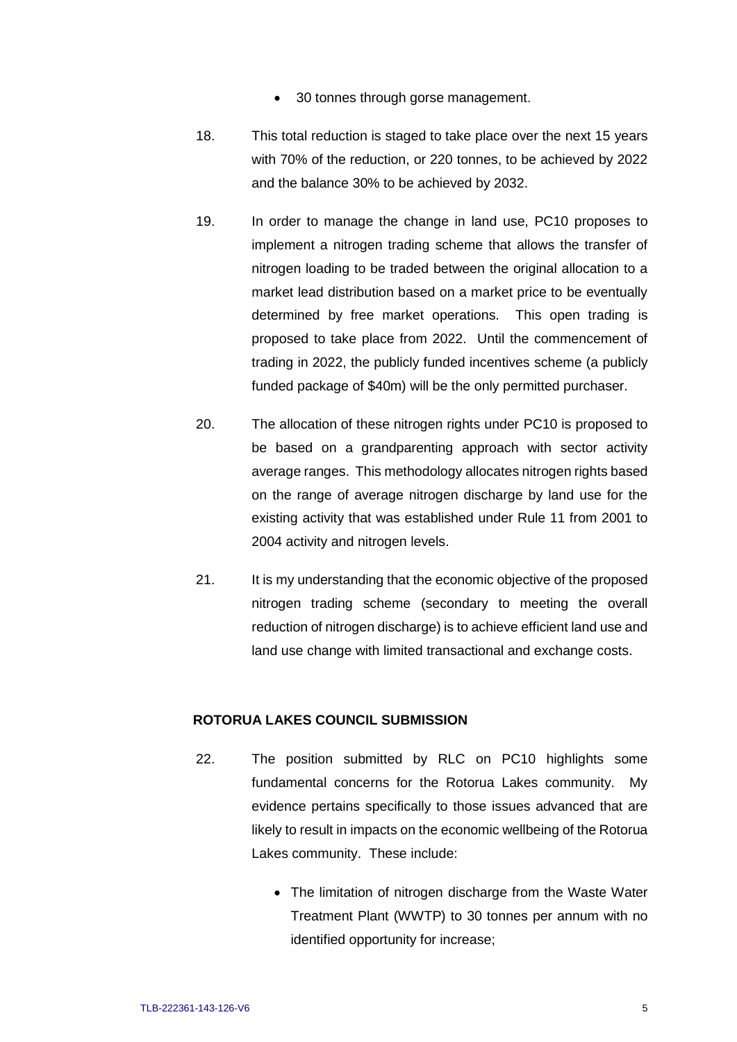- 30 tonnes through gorse management.
- 18. This total reduction is staged to take place over the next 15 years with 70% of the reduction, or 220 tonnes, to be achieved by 2022 and the balance 30% to be achieved by 2032.
- 19. In order to manage the change in land use, PC10 proposes to implement a nitrogen trading scheme that allows the transfer of nitrogen loading to be traded between the original allocation to a market lead distribution based on a market price to be eventually determined by free market operations. This open trading is proposed to take place from 2022. Until the commencement of trading in 2022, the publicly funded incentives scheme (a publicly funded package of \$40m) will be the only permitted purchaser.
- 20. The allocation of these nitrogen rights under PC10 is proposed to be based on a grandparenting approach with sector activity average ranges. This methodology allocates nitrogen rights based on the range of average nitrogen discharge by land use for the existing activity that was established under Rule 11 from 2001 to 2004 activity and nitrogen levels.
- 21. It is my understanding that the economic objective of the proposed nitrogen trading scheme (secondary to meeting the overall reduction of nitrogen discharge) is to achieve efficient land use and land use change with limited transactional and exchange costs.

### **ROTORUA LAKES COUNCIL SUBMISSION**

- 22. The position submitted by RLC on PC10 highlights some fundamental concerns for the Rotorua Lakes community. My evidence pertains specifically to those issues advanced that are likely to result in impacts on the economic wellbeing of the Rotorua Lakes community. These include:
	- The limitation of nitrogen discharge from the Waste Water Treatment Plant (WWTP) to 30 tonnes per annum with no identified opportunity for increase;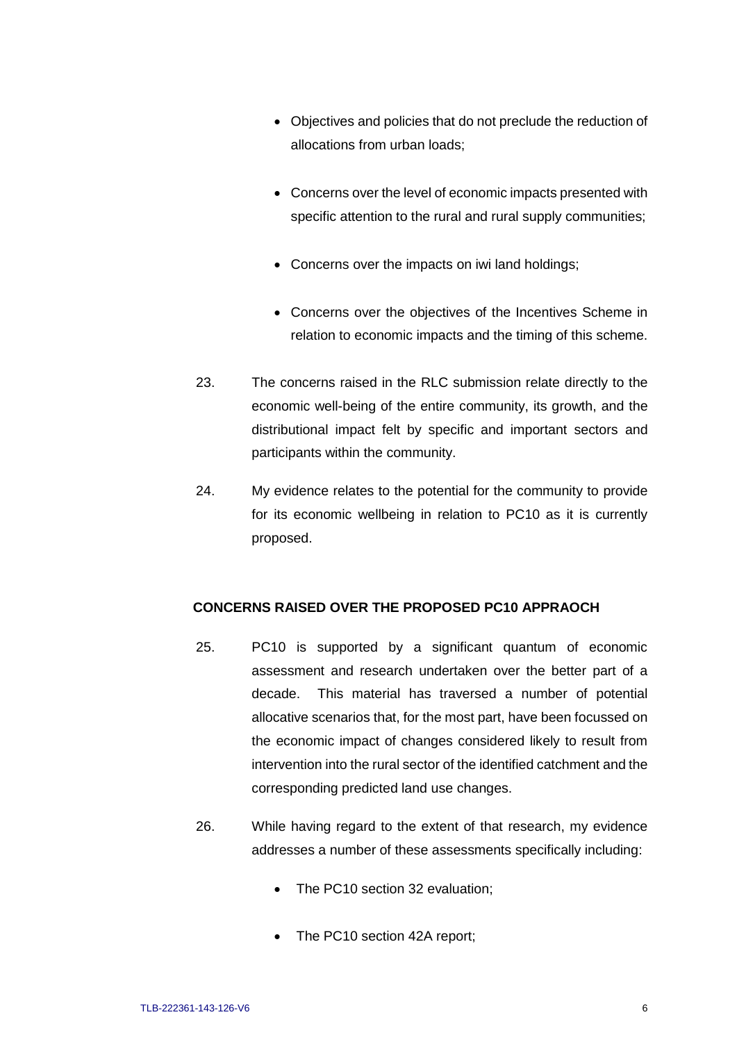- Objectives and policies that do not preclude the reduction of allocations from urban loads;
- Concerns over the level of economic impacts presented with specific attention to the rural and rural supply communities;
- Concerns over the impacts on iwi land holdings;
- Concerns over the objectives of the Incentives Scheme in relation to economic impacts and the timing of this scheme.
- 23. The concerns raised in the RLC submission relate directly to the economic well-being of the entire community, its growth, and the distributional impact felt by specific and important sectors and participants within the community.
- 24. My evidence relates to the potential for the community to provide for its economic wellbeing in relation to PC10 as it is currently proposed.

## **CONCERNS RAISED OVER THE PROPOSED PC10 APPRAOCH**

- 25. PC10 is supported by a significant quantum of economic assessment and research undertaken over the better part of a decade. This material has traversed a number of potential allocative scenarios that, for the most part, have been focussed on the economic impact of changes considered likely to result from intervention into the rural sector of the identified catchment and the corresponding predicted land use changes.
- 26. While having regard to the extent of that research, my evidence addresses a number of these assessments specifically including:
	- The PC10 section 32 evaluation;
	- The PC10 section 42A report;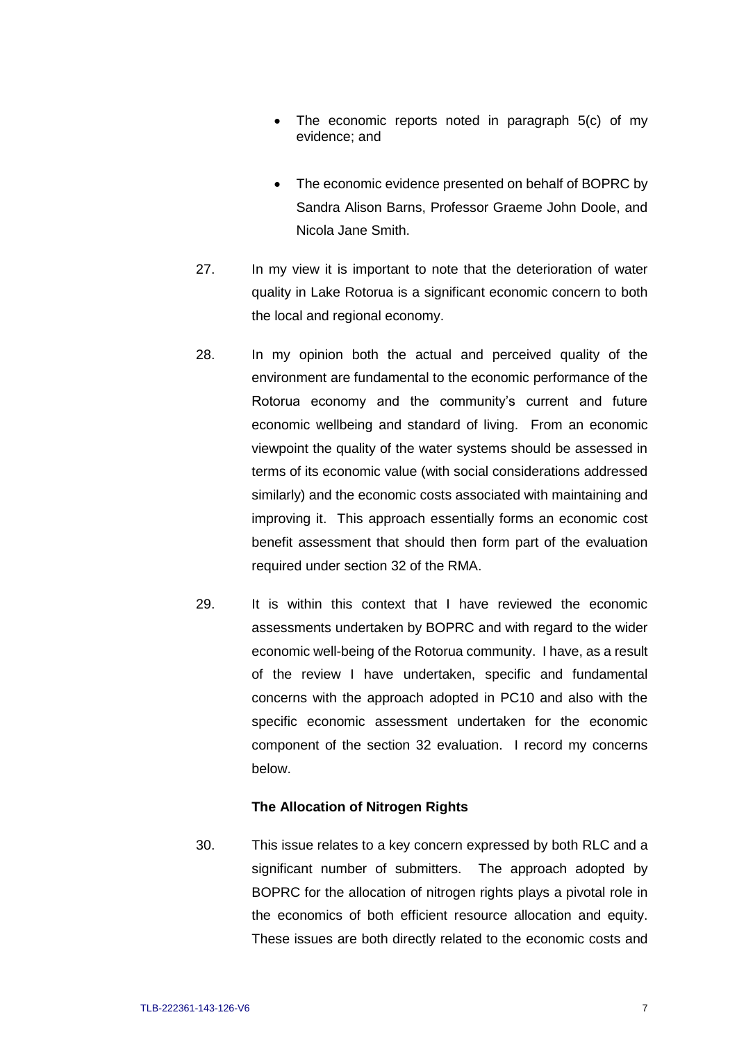- The economic reports noted in paragraph 5(c) of my evidence; and
- The economic evidence presented on behalf of BOPRC by Sandra Alison Barns, Professor Graeme John Doole, and Nicola Jane Smith.
- 27. In my view it is important to note that the deterioration of water quality in Lake Rotorua is a significant economic concern to both the local and regional economy.
- 28. In my opinion both the actual and perceived quality of the environment are fundamental to the economic performance of the Rotorua economy and the community's current and future economic wellbeing and standard of living. From an economic viewpoint the quality of the water systems should be assessed in terms of its economic value (with social considerations addressed similarly) and the economic costs associated with maintaining and improving it. This approach essentially forms an economic cost benefit assessment that should then form part of the evaluation required under section 32 of the RMA.
- 29. It is within this context that I have reviewed the economic assessments undertaken by BOPRC and with regard to the wider economic well-being of the Rotorua community. I have, as a result of the review I have undertaken, specific and fundamental concerns with the approach adopted in PC10 and also with the specific economic assessment undertaken for the economic component of the section 32 evaluation. I record my concerns below.

#### **The Allocation of Nitrogen Rights**

30. This issue relates to a key concern expressed by both RLC and a significant number of submitters. The approach adopted by BOPRC for the allocation of nitrogen rights plays a pivotal role in the economics of both efficient resource allocation and equity. These issues are both directly related to the economic costs and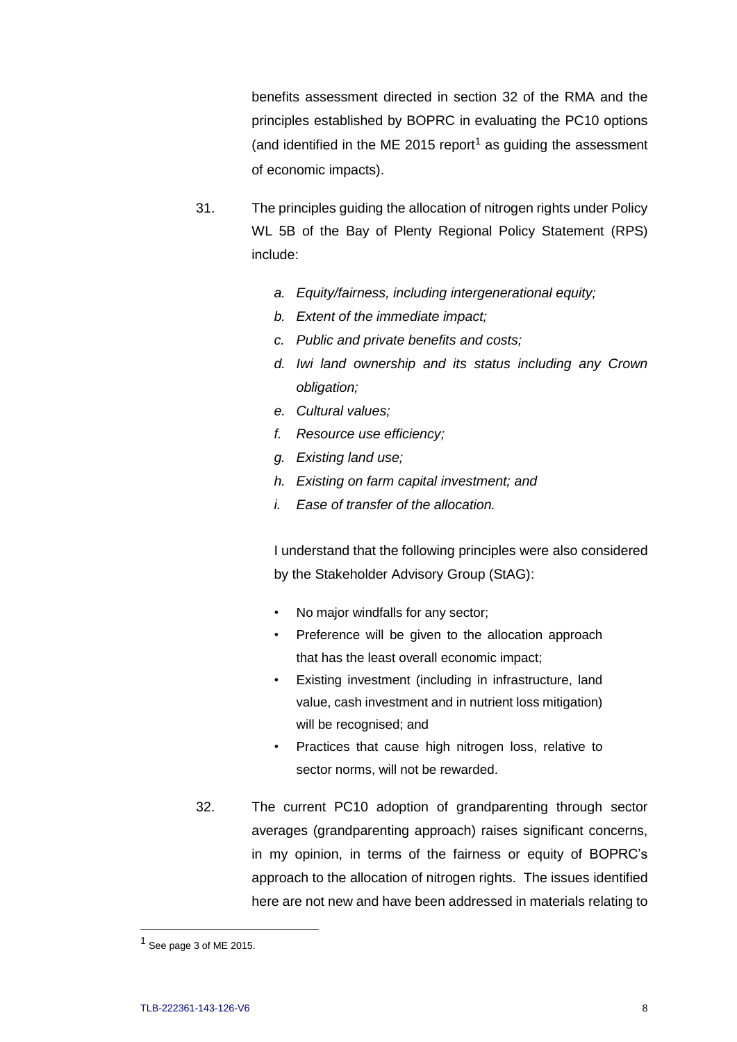benefits assessment directed in section 32 of the RMA and the principles established by BOPRC in evaluating the PC10 options (and identified in the ME 2015 report<sup>1</sup> as guiding the assessment of economic impacts).

- 31. The principles guiding the allocation of nitrogen rights under Policy WL 5B of the Bay of Plenty Regional Policy Statement (RPS) include:
	- *a. Equity/fairness, including intergenerational equity;*
	- *b. Extent of the immediate impact;*
	- *c. Public and private benefits and costs;*
	- *d. Iwi land ownership and its status including any Crown obligation;*
	- *e. Cultural values;*
	- *f. Resource use efficiency;*
	- *g. Existing land use;*
	- *h. Existing on farm capital investment; and*
	- *i. Ease of transfer of the allocation.*

I understand that the following principles were also considered by the Stakeholder Advisory Group (StAG):

- No major windfalls for any sector;
- Preference will be given to the allocation approach that has the least overall economic impact;
- Existing investment (including in infrastructure, land value, cash investment and in nutrient loss mitigation) will be recognised; and
- Practices that cause high nitrogen loss, relative to sector norms, will not be rewarded.
- 32. The current PC10 adoption of grandparenting through sector averages (grandparenting approach) raises significant concerns, in my opinion, in terms of the fairness or equity of BOPRC's approach to the allocation of nitrogen rights. The issues identified here are not new and have been addressed in materials relating to

 $\overline{a}$ 

<sup>1</sup> See page 3 of ME 2015.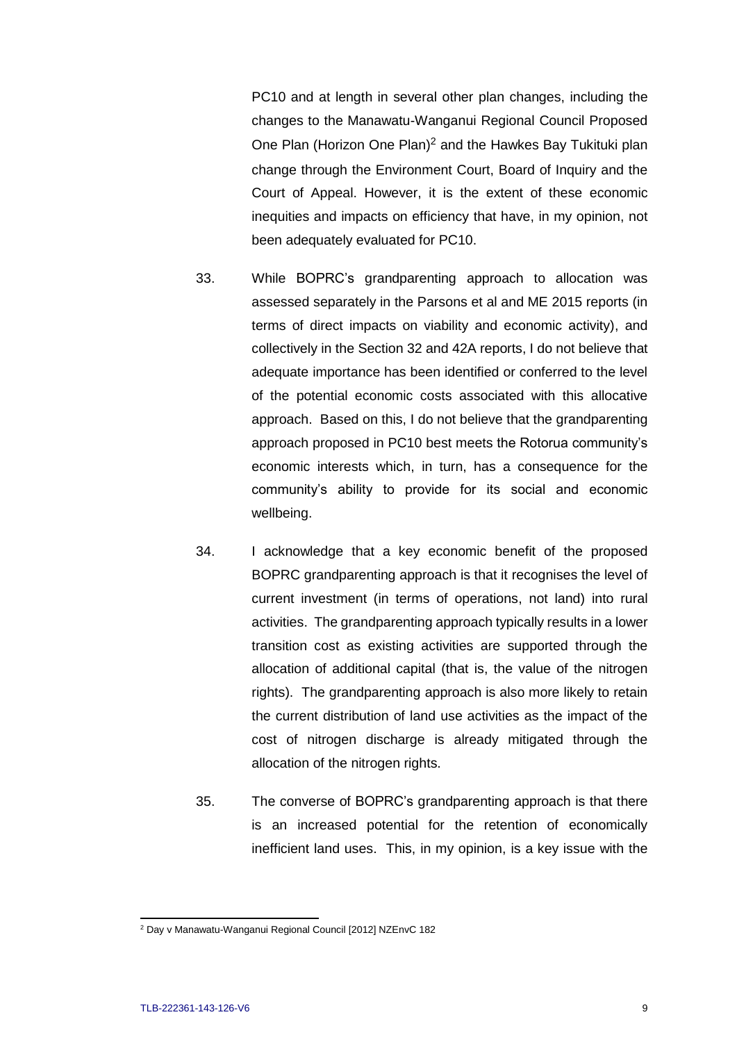PC10 and at length in several other plan changes, including the changes to the Manawatu-Wanganui Regional Council Proposed One Plan (Horizon One Plan)<sup>2</sup> and the Hawkes Bay Tukituki plan change through the Environment Court, Board of Inquiry and the Court of Appeal. However, it is the extent of these economic inequities and impacts on efficiency that have, in my opinion, not been adequately evaluated for PC10.

- 33. While BOPRC's grandparenting approach to allocation was assessed separately in the Parsons et al and ME 2015 reports (in terms of direct impacts on viability and economic activity), and collectively in the Section 32 and 42A reports, I do not believe that adequate importance has been identified or conferred to the level of the potential economic costs associated with this allocative approach. Based on this, I do not believe that the grandparenting approach proposed in PC10 best meets the Rotorua community's economic interests which, in turn, has a consequence for the community's ability to provide for its social and economic wellbeing.
- 34. I acknowledge that a key economic benefit of the proposed BOPRC grandparenting approach is that it recognises the level of current investment (in terms of operations, not land) into rural activities. The grandparenting approach typically results in a lower transition cost as existing activities are supported through the allocation of additional capital (that is, the value of the nitrogen rights). The grandparenting approach is also more likely to retain the current distribution of land use activities as the impact of the cost of nitrogen discharge is already mitigated through the allocation of the nitrogen rights.
- 35. The converse of BOPRC's grandparenting approach is that there is an increased potential for the retention of economically inefficient land uses. This, in my opinion, is a key issue with the

 <sup>2</sup> Day v Manawatu-Wanganui Regional Council [2012] NZEnvC 182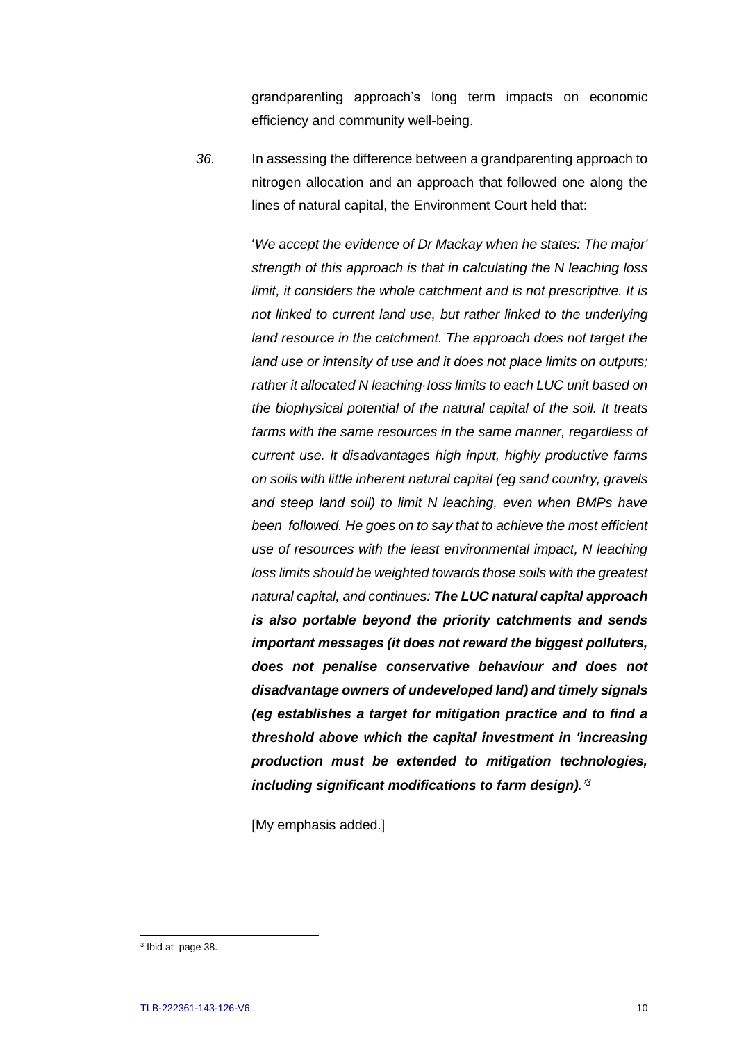grandparenting approach's long term impacts on economic efficiency and community well-being.

*36.* In assessing the difference between a grandparenting approach to nitrogen allocation and an approach that followed one along the lines of natural capital, the Environment Court held that:

> '*We accept the evidence of Dr Mackay when he states: The major' strength of this approach is that in calculating the N leaching loss limit, it considers the whole catchment and is not prescriptive. It is not linked to current land use, but rather linked to the underlying land resource in the catchment. The approach does not target the land use or intensity of use and it does not place limits on outputs; rather it allocated N leaching·Ioss limits to each LUC unit based on the biophysical potential of the natural capital of the soil. It treats farms with the same resources in the same manner, regardless of current use. lt disadvantages high input, highly productive farms on soils with little inherent natural capital (eg sand country, gravels and steep land soil) to limit N leaching, even when BMPs have been followed. He goes on to say that to achieve the most efficient use of resources with the least environmental impact, N leaching loss limits should be weighted towards those soils with the greatest natural capital, and continues: The LUC natural capital approach is also portable beyond the priority catchments and sends important messages (it does not reward the biggest polluters, does not penalise conservative behaviour and does not disadvantage owners of undeveloped land) and timely signals (eg establishes a target for mitigation practice and to find a threshold above which the capital investment in 'increasing production must be extended to mitigation technologies, including significant modifications to farm design).' 3*

[My emphasis added.]

<sup>&</sup>lt;sup>3</sup> Ibid at page 38.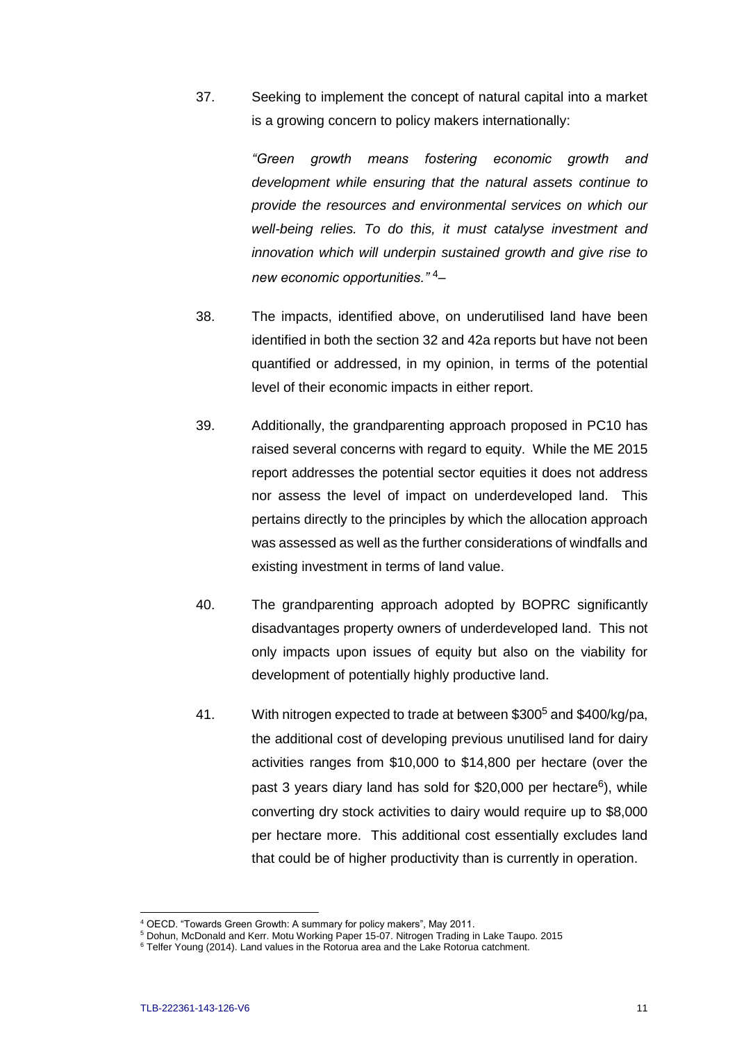37. Seeking to implement the concept of natural capital into a market is a growing concern to policy makers internationally:

> *"Green growth means fostering economic growth and development while ensuring that the natural assets continue to provide the resources and environmental services on which our well-being relies. To do this, it must catalyse investment and innovation which will underpin sustained growth and give rise to new economic opportunities."* <sup>4</sup>–

- 38. The impacts, identified above, on underutilised land have been identified in both the section 32 and 42a reports but have not been quantified or addressed, in my opinion, in terms of the potential level of their economic impacts in either report.
- 39. Additionally, the grandparenting approach proposed in PC10 has raised several concerns with regard to equity. While the ME 2015 report addresses the potential sector equities it does not address nor assess the level of impact on underdeveloped land. This pertains directly to the principles by which the allocation approach was assessed as well as the further considerations of windfalls and existing investment in terms of land value.
- 40. The grandparenting approach adopted by BOPRC significantly disadvantages property owners of underdeveloped land. This not only impacts upon issues of equity but also on the viability for development of potentially highly productive land.
- 41. With nitrogen expected to trade at between \$300<sup>5</sup> and \$400/kg/pa, the additional cost of developing previous unutilised land for dairy activities ranges from \$10,000 to \$14,800 per hectare (over the past 3 years diary land has sold for \$20,000 per hectare<sup>6</sup>), while converting dry stock activities to dairy would require up to \$8,000 per hectare more. This additional cost essentially excludes land that could be of higher productivity than is currently in operation.

 $\overline{a}$ 

<sup>4</sup> OECD. "Towards Green Growth: A summary for policy makers", May 2011.

<sup>5</sup> Dohun, McDonald and Kerr. Motu Working Paper 15-07. Nitrogen Trading in Lake Taupo. 2015

<sup>&</sup>lt;sup>6</sup> Telfer Young (2014). Land values in the Rotorua area and the Lake Rotorua catchment.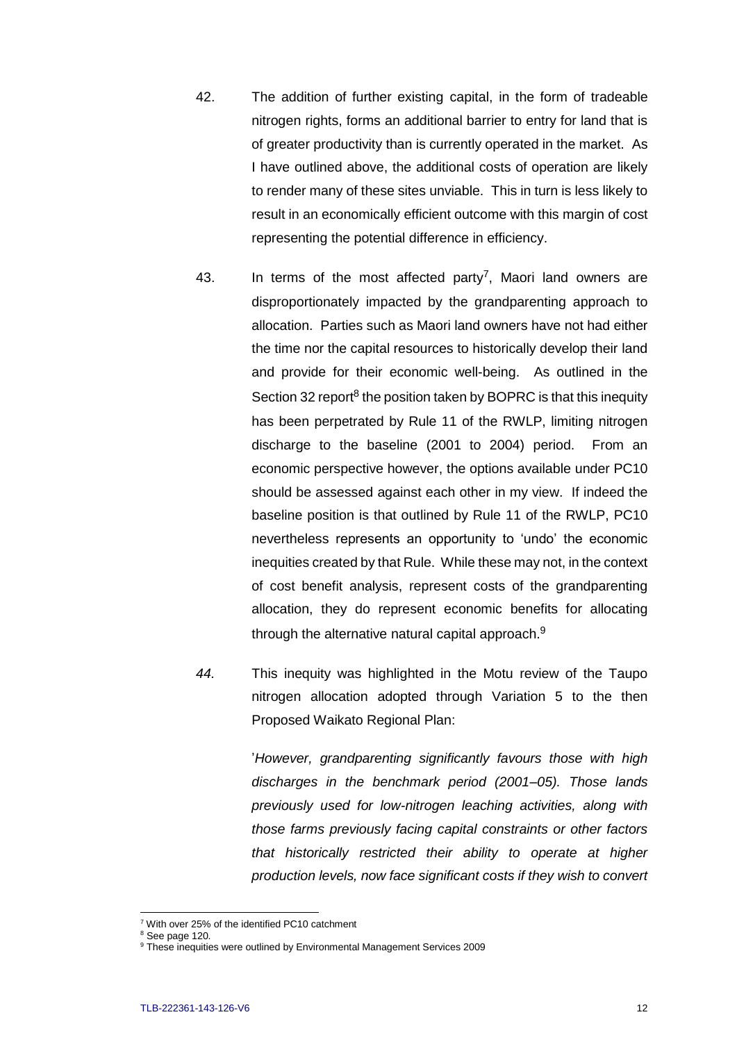- 42. The addition of further existing capital, in the form of tradeable nitrogen rights, forms an additional barrier to entry for land that is of greater productivity than is currently operated in the market. As I have outlined above, the additional costs of operation are likely to render many of these sites unviable. This in turn is less likely to result in an economically efficient outcome with this margin of cost representing the potential difference in efficiency.
	- 43. In terms of the most affected party<sup>7</sup>, Maori land owners are disproportionately impacted by the grandparenting approach to allocation. Parties such as Maori land owners have not had either the time nor the capital resources to historically develop their land and provide for their economic well-being. As outlined in the Section 32 report<sup>8</sup> the position taken by BOPRC is that this inequity has been perpetrated by Rule 11 of the RWLP, limiting nitrogen discharge to the baseline (2001 to 2004) period. From an economic perspective however, the options available under PC10 should be assessed against each other in my view. If indeed the baseline position is that outlined by Rule 11 of the RWLP, PC10 nevertheless represents an opportunity to 'undo' the economic inequities created by that Rule. While these may not, in the context of cost benefit analysis, represent costs of the grandparenting allocation, they do represent economic benefits for allocating through the alternative natural capital approach. $9$
- *44.* This inequity was highlighted in the Motu review of the Taupo nitrogen allocation adopted through Variation 5 to the then Proposed Waikato Regional Plan:

'*However, grandparenting significantly favours those with high discharges in the benchmark period (2001–05). Those lands previously used for low-nitrogen leaching activities, along with those farms previously facing capital constraints or other factors that historically restricted their ability to operate at higher production levels, now face significant costs if they wish to convert* 

 $\overline{a}$ 

<sup>7</sup> With over 25% of the identified PC10 catchment

<sup>&</sup>lt;sup>8</sup> See page 120.

<sup>9</sup> These inequities were outlined by Environmental Management Services 2009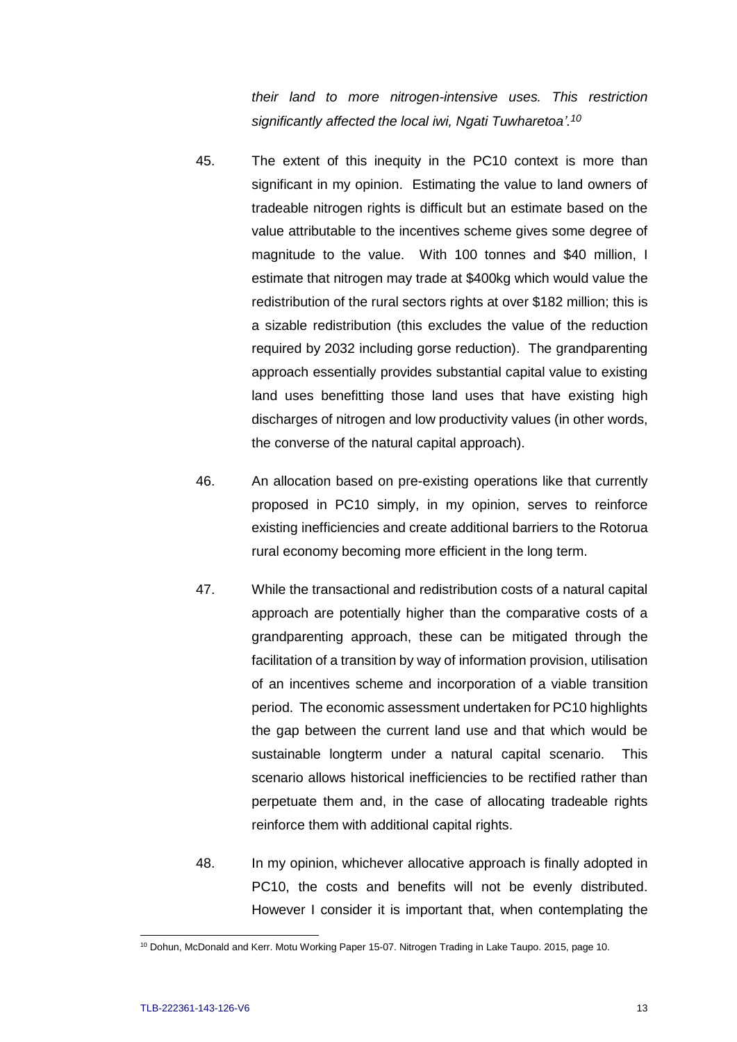*their land to more nitrogen-intensive uses. This restriction significantly affected the local iwi, Ngati Tuwharetoa'.<sup>10</sup>* 

- 45. The extent of this inequity in the PC10 context is more than significant in my opinion. Estimating the value to land owners of tradeable nitrogen rights is difficult but an estimate based on the value attributable to the incentives scheme gives some degree of magnitude to the value. With 100 tonnes and \$40 million, I estimate that nitrogen may trade at \$400kg which would value the redistribution of the rural sectors rights at over \$182 million; this is a sizable redistribution (this excludes the value of the reduction required by 2032 including gorse reduction). The grandparenting approach essentially provides substantial capital value to existing land uses benefitting those land uses that have existing high discharges of nitrogen and low productivity values (in other words, the converse of the natural capital approach).
- 46. An allocation based on pre-existing operations like that currently proposed in PC10 simply, in my opinion, serves to reinforce existing inefficiencies and create additional barriers to the Rotorua rural economy becoming more efficient in the long term.
- 47. While the transactional and redistribution costs of a natural capital approach are potentially higher than the comparative costs of a grandparenting approach, these can be mitigated through the facilitation of a transition by way of information provision, utilisation of an incentives scheme and incorporation of a viable transition period. The economic assessment undertaken for PC10 highlights the gap between the current land use and that which would be sustainable longterm under a natural capital scenario. This scenario allows historical inefficiencies to be rectified rather than perpetuate them and, in the case of allocating tradeable rights reinforce them with additional capital rights.
- 48. In my opinion, whichever allocative approach is finally adopted in PC10, the costs and benefits will not be evenly distributed. However I consider it is important that, when contemplating the

<sup>&</sup>lt;sup>10</sup> Dohun, McDonald and Kerr. Motu Working Paper 15-07. Nitrogen Trading in Lake Taupo. 2015, page 10.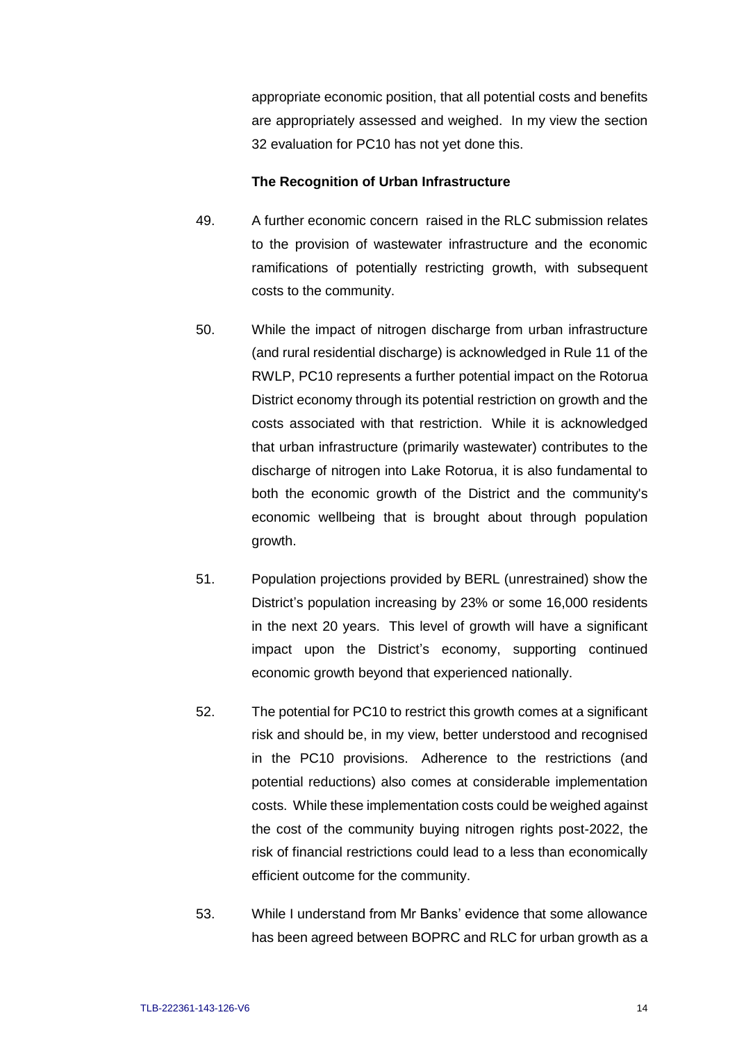appropriate economic position, that all potential costs and benefits are appropriately assessed and weighed. In my view the section 32 evaluation for PC10 has not yet done this.

#### **The Recognition of Urban Infrastructure**

- 49. A further economic concern raised in the RLC submission relates to the provision of wastewater infrastructure and the economic ramifications of potentially restricting growth, with subsequent costs to the community.
- 50. While the impact of nitrogen discharge from urban infrastructure (and rural residential discharge) is acknowledged in Rule 11 of the RWLP, PC10 represents a further potential impact on the Rotorua District economy through its potential restriction on growth and the costs associated with that restriction. While it is acknowledged that urban infrastructure (primarily wastewater) contributes to the discharge of nitrogen into Lake Rotorua, it is also fundamental to both the economic growth of the District and the community's economic wellbeing that is brought about through population growth.
- 51. Population projections provided by BERL (unrestrained) show the District's population increasing by 23% or some 16,000 residents in the next 20 years. This level of growth will have a significant impact upon the District's economy, supporting continued economic growth beyond that experienced nationally.
- 52. The potential for PC10 to restrict this growth comes at a significant risk and should be, in my view, better understood and recognised in the PC10 provisions. Adherence to the restrictions (and potential reductions) also comes at considerable implementation costs. While these implementation costs could be weighed against the cost of the community buying nitrogen rights post-2022, the risk of financial restrictions could lead to a less than economically efficient outcome for the community.
- 53. While I understand from Mr Banks' evidence that some allowance has been agreed between BOPRC and RLC for urban growth as a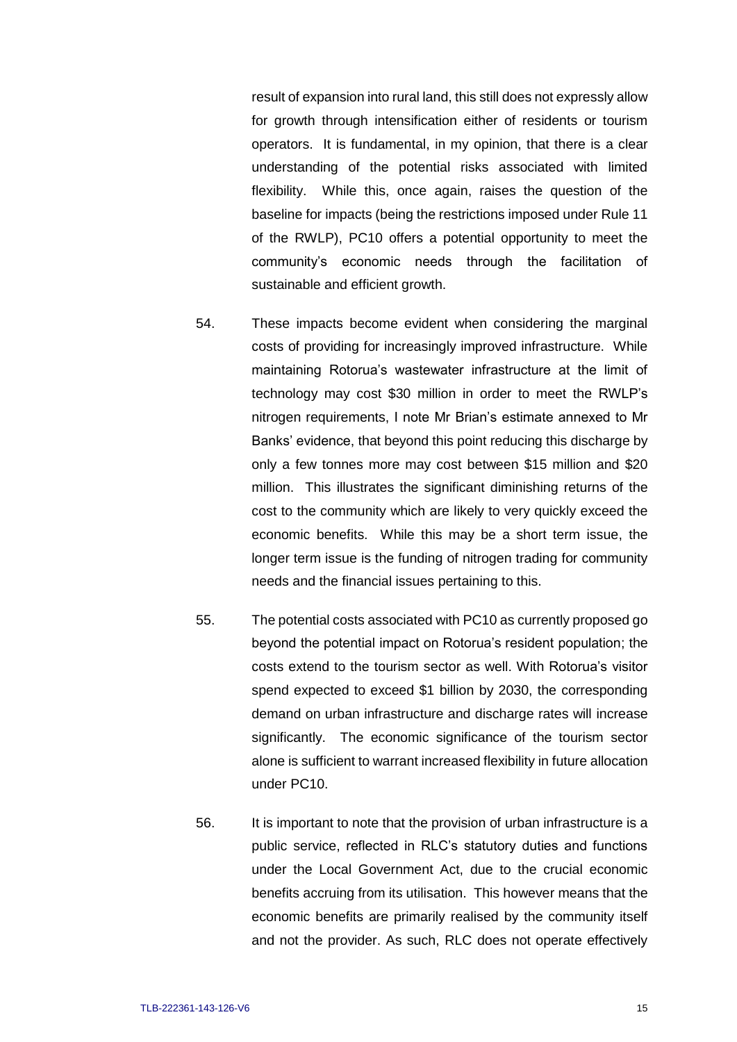result of expansion into rural land, this still does not expressly allow for growth through intensification either of residents or tourism operators. It is fundamental, in my opinion, that there is a clear understanding of the potential risks associated with limited flexibility. While this, once again, raises the question of the baseline for impacts (being the restrictions imposed under Rule 11 of the RWLP), PC10 offers a potential opportunity to meet the community's economic needs through the facilitation of sustainable and efficient growth.

- 54. These impacts become evident when considering the marginal costs of providing for increasingly improved infrastructure. While maintaining Rotorua's wastewater infrastructure at the limit of technology may cost \$30 million in order to meet the RWLP's nitrogen requirements, I note Mr Brian's estimate annexed to Mr Banks' evidence, that beyond this point reducing this discharge by only a few tonnes more may cost between \$15 million and \$20 million. This illustrates the significant diminishing returns of the cost to the community which are likely to very quickly exceed the economic benefits. While this may be a short term issue, the longer term issue is the funding of nitrogen trading for community needs and the financial issues pertaining to this.
- 55. The potential costs associated with PC10 as currently proposed go beyond the potential impact on Rotorua's resident population; the costs extend to the tourism sector as well. With Rotorua's visitor spend expected to exceed \$1 billion by 2030, the corresponding demand on urban infrastructure and discharge rates will increase significantly. The economic significance of the tourism sector alone is sufficient to warrant increased flexibility in future allocation under PC10.
- 56. It is important to note that the provision of urban infrastructure is a public service, reflected in RLC's statutory duties and functions under the Local Government Act, due to the crucial economic benefits accruing from its utilisation. This however means that the economic benefits are primarily realised by the community itself and not the provider. As such, RLC does not operate effectively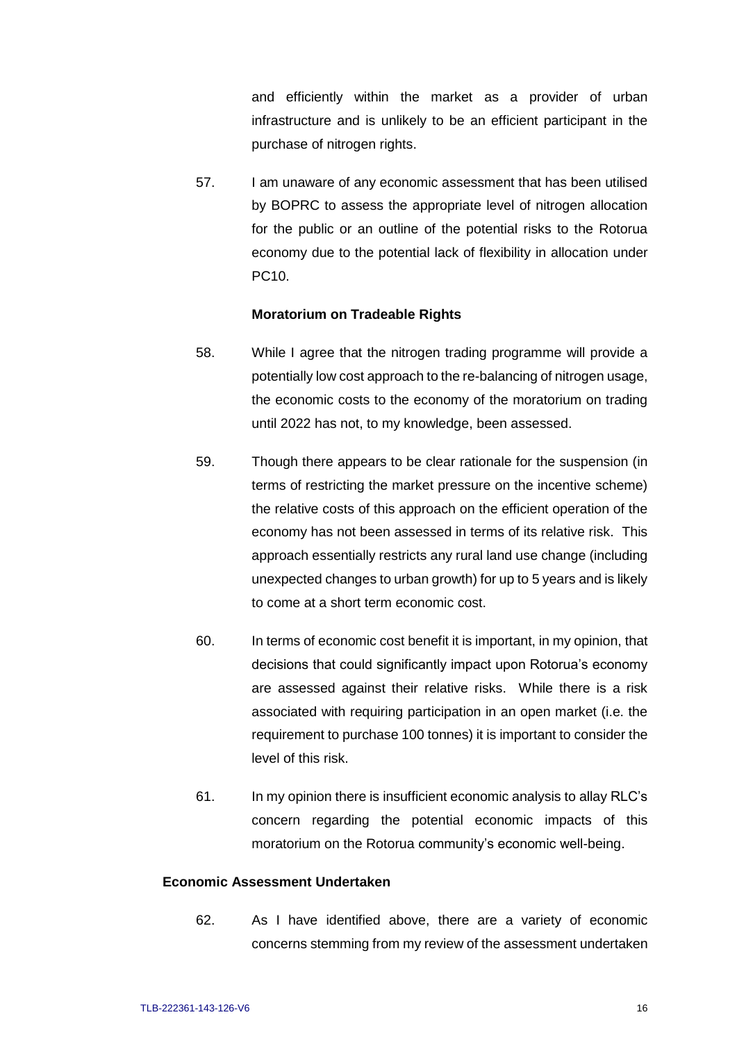and efficiently within the market as a provider of urban infrastructure and is unlikely to be an efficient participant in the purchase of nitrogen rights.

57. I am unaware of any economic assessment that has been utilised by BOPRC to assess the appropriate level of nitrogen allocation for the public or an outline of the potential risks to the Rotorua economy due to the potential lack of flexibility in allocation under PC10.

#### **Moratorium on Tradeable Rights**

- 58. While I agree that the nitrogen trading programme will provide a potentially low cost approach to the re-balancing of nitrogen usage, the economic costs to the economy of the moratorium on trading until 2022 has not, to my knowledge, been assessed.
- 59. Though there appears to be clear rationale for the suspension (in terms of restricting the market pressure on the incentive scheme) the relative costs of this approach on the efficient operation of the economy has not been assessed in terms of its relative risk. This approach essentially restricts any rural land use change (including unexpected changes to urban growth) for up to 5 years and is likely to come at a short term economic cost.
- 60. In terms of economic cost benefit it is important, in my opinion, that decisions that could significantly impact upon Rotorua's economy are assessed against their relative risks. While there is a risk associated with requiring participation in an open market (i.e. the requirement to purchase 100 tonnes) it is important to consider the level of this risk.
- 61. In my opinion there is insufficient economic analysis to allay RLC's concern regarding the potential economic impacts of this moratorium on the Rotorua community's economic well-being.

### **Economic Assessment Undertaken**

62. As I have identified above, there are a variety of economic concerns stemming from my review of the assessment undertaken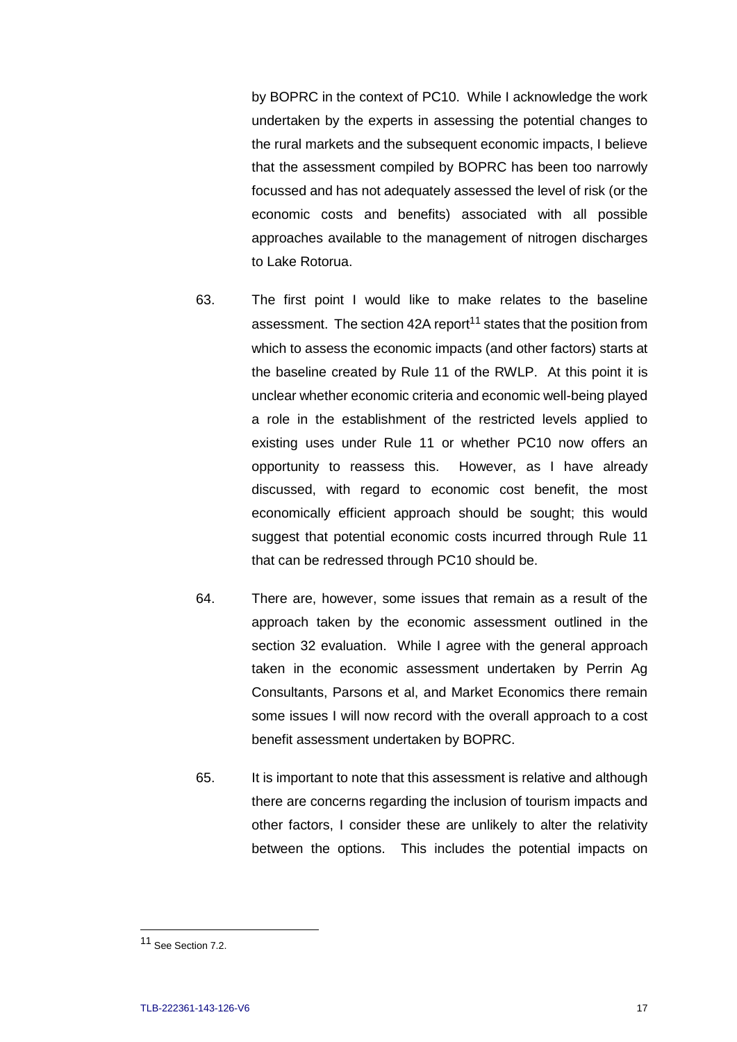by BOPRC in the context of PC10. While I acknowledge the work undertaken by the experts in assessing the potential changes to the rural markets and the subsequent economic impacts, I believe that the assessment compiled by BOPRC has been too narrowly focussed and has not adequately assessed the level of risk (or the economic costs and benefits) associated with all possible approaches available to the management of nitrogen discharges to Lake Rotorua.

- 63. The first point I would like to make relates to the baseline assessment. The section 42A report<sup>11</sup> states that the position from which to assess the economic impacts (and other factors) starts at the baseline created by Rule 11 of the RWLP. At this point it is unclear whether economic criteria and economic well-being played a role in the establishment of the restricted levels applied to existing uses under Rule 11 or whether PC10 now offers an opportunity to reassess this. However, as I have already discussed, with regard to economic cost benefit, the most economically efficient approach should be sought; this would suggest that potential economic costs incurred through Rule 11 that can be redressed through PC10 should be.
- 64. There are, however, some issues that remain as a result of the approach taken by the economic assessment outlined in the section 32 evaluation. While I agree with the general approach taken in the economic assessment undertaken by Perrin Ag Consultants, Parsons et al, and Market Economics there remain some issues I will now record with the overall approach to a cost benefit assessment undertaken by BOPRC.
- 65. It is important to note that this assessment is relative and although there are concerns regarding the inclusion of tourism impacts and other factors, I consider these are unlikely to alter the relativity between the options. This includes the potential impacts on

 $\overline{a}$ 

<sup>11</sup> See Section 7.2.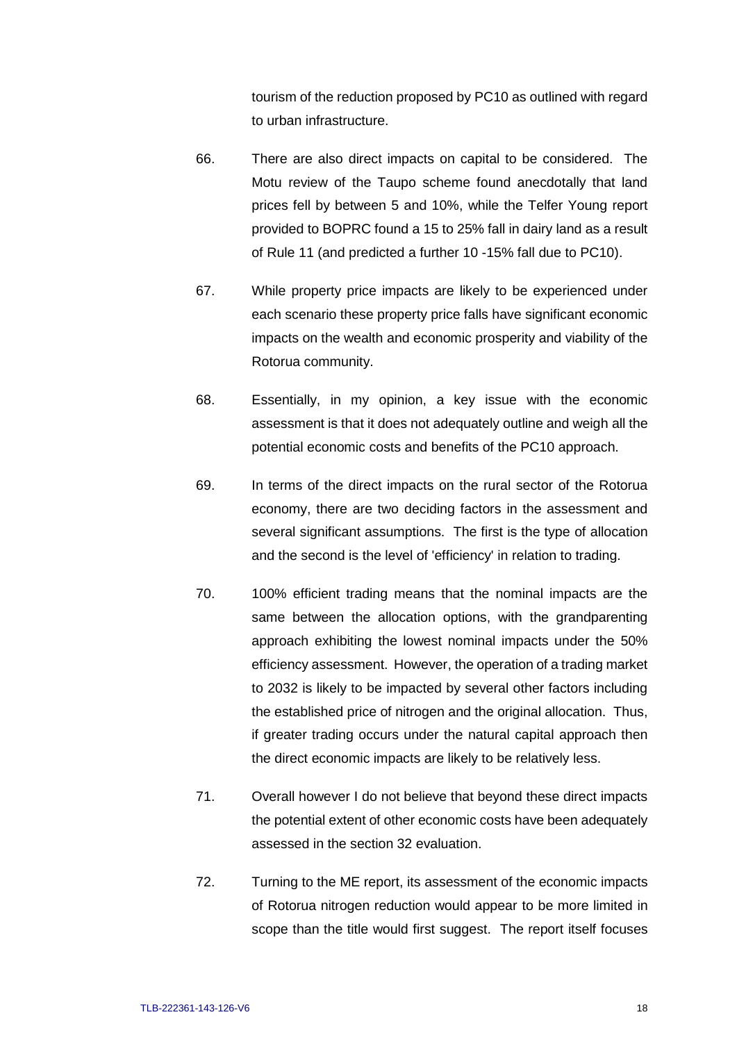tourism of the reduction proposed by PC10 as outlined with regard to urban infrastructure.

- 66. There are also direct impacts on capital to be considered. The Motu review of the Taupo scheme found anecdotally that land prices fell by between 5 and 10%, while the Telfer Young report provided to BOPRC found a 15 to 25% fall in dairy land as a result of Rule 11 (and predicted a further 10 -15% fall due to PC10).
- 67. While property price impacts are likely to be experienced under each scenario these property price falls have significant economic impacts on the wealth and economic prosperity and viability of the Rotorua community.
- 68. Essentially, in my opinion, a key issue with the economic assessment is that it does not adequately outline and weigh all the potential economic costs and benefits of the PC10 approach.
- 69. In terms of the direct impacts on the rural sector of the Rotorua economy, there are two deciding factors in the assessment and several significant assumptions. The first is the type of allocation and the second is the level of 'efficiency' in relation to trading.
- 70. 100% efficient trading means that the nominal impacts are the same between the allocation options, with the grandparenting approach exhibiting the lowest nominal impacts under the 50% efficiency assessment. However, the operation of a trading market to 2032 is likely to be impacted by several other factors including the established price of nitrogen and the original allocation. Thus, if greater trading occurs under the natural capital approach then the direct economic impacts are likely to be relatively less.
- 71. Overall however I do not believe that beyond these direct impacts the potential extent of other economic costs have been adequately assessed in the section 32 evaluation.
- 72. Turning to the ME report, its assessment of the economic impacts of Rotorua nitrogen reduction would appear to be more limited in scope than the title would first suggest. The report itself focuses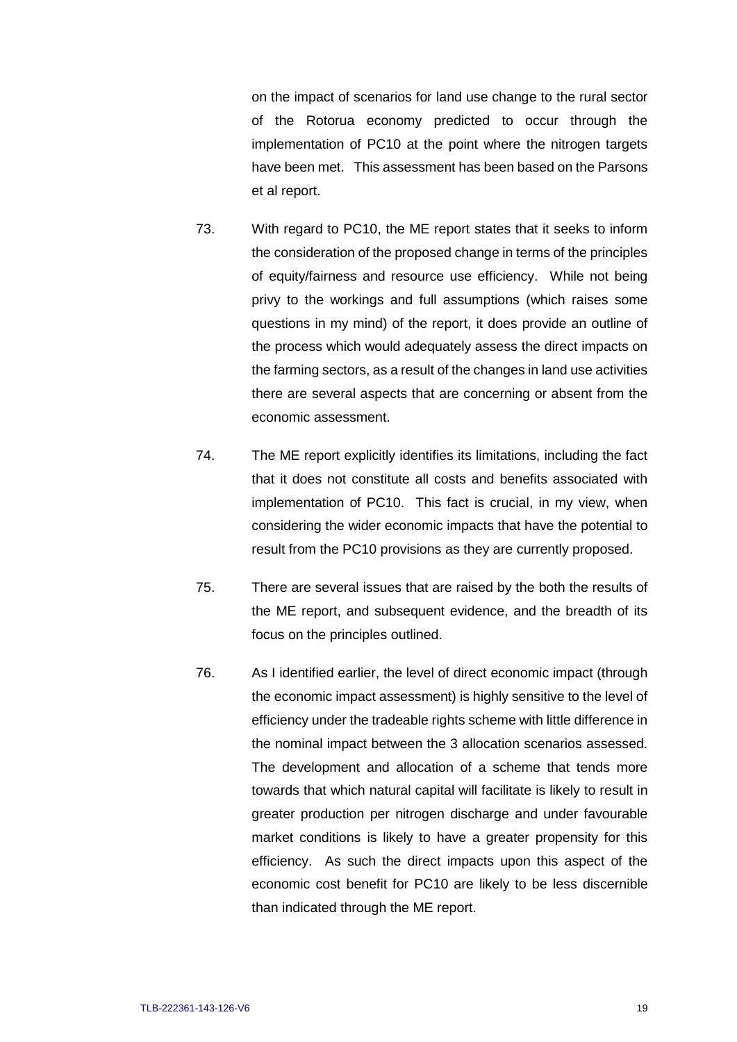on the impact of scenarios for land use change to the rural sector of the Rotorua economy predicted to occur through the implementation of PC10 at the point where the nitrogen targets have been met. This assessment has been based on the Parsons et al report.

- 73. With regard to PC10, the ME report states that it seeks to inform the consideration of the proposed change in terms of the principles of equity/fairness and resource use efficiency. While not being privy to the workings and full assumptions (which raises some questions in my mind) of the report, it does provide an outline of the process which would adequately assess the direct impacts on the farming sectors, as a result of the changes in land use activities there are several aspects that are concerning or absent from the economic assessment.
- 74. The ME report explicitly identifies its limitations, including the fact that it does not constitute all costs and benefits associated with implementation of PC10. This fact is crucial, in my view, when considering the wider economic impacts that have the potential to result from the PC10 provisions as they are currently proposed.
- 75. There are several issues that are raised by the both the results of the ME report, and subsequent evidence, and the breadth of its focus on the principles outlined.
- 76. As I identified earlier, the level of direct economic impact (through the economic impact assessment) is highly sensitive to the level of efficiency under the tradeable rights scheme with little difference in the nominal impact between the 3 allocation scenarios assessed. The development and allocation of a scheme that tends more towards that which natural capital will facilitate is likely to result in greater production per nitrogen discharge and under favourable market conditions is likely to have a greater propensity for this efficiency. As such the direct impacts upon this aspect of the economic cost benefit for PC10 are likely to be less discernible than indicated through the ME report.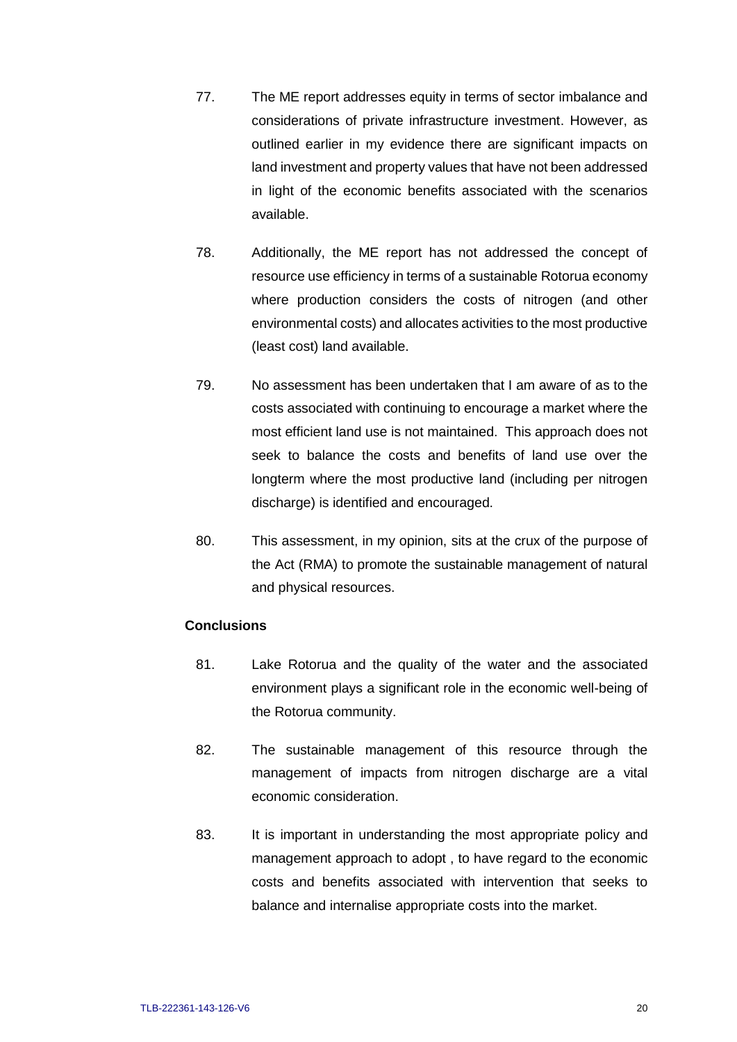- 77. The ME report addresses equity in terms of sector imbalance and considerations of private infrastructure investment. However, as outlined earlier in my evidence there are significant impacts on land investment and property values that have not been addressed in light of the economic benefits associated with the scenarios available.
- 78. Additionally, the ME report has not addressed the concept of resource use efficiency in terms of a sustainable Rotorua economy where production considers the costs of nitrogen (and other environmental costs) and allocates activities to the most productive (least cost) land available.
- 79. No assessment has been undertaken that I am aware of as to the costs associated with continuing to encourage a market where the most efficient land use is not maintained. This approach does not seek to balance the costs and benefits of land use over the longterm where the most productive land (including per nitrogen discharge) is identified and encouraged.
- 80. This assessment, in my opinion, sits at the crux of the purpose of the Act (RMA) to promote the sustainable management of natural and physical resources.

#### **Conclusions**

- 81. Lake Rotorua and the quality of the water and the associated environment plays a significant role in the economic well-being of the Rotorua community.
- 82. The sustainable management of this resource through the management of impacts from nitrogen discharge are a vital economic consideration.
- 83. It is important in understanding the most appropriate policy and management approach to adopt , to have regard to the economic costs and benefits associated with intervention that seeks to balance and internalise appropriate costs into the market.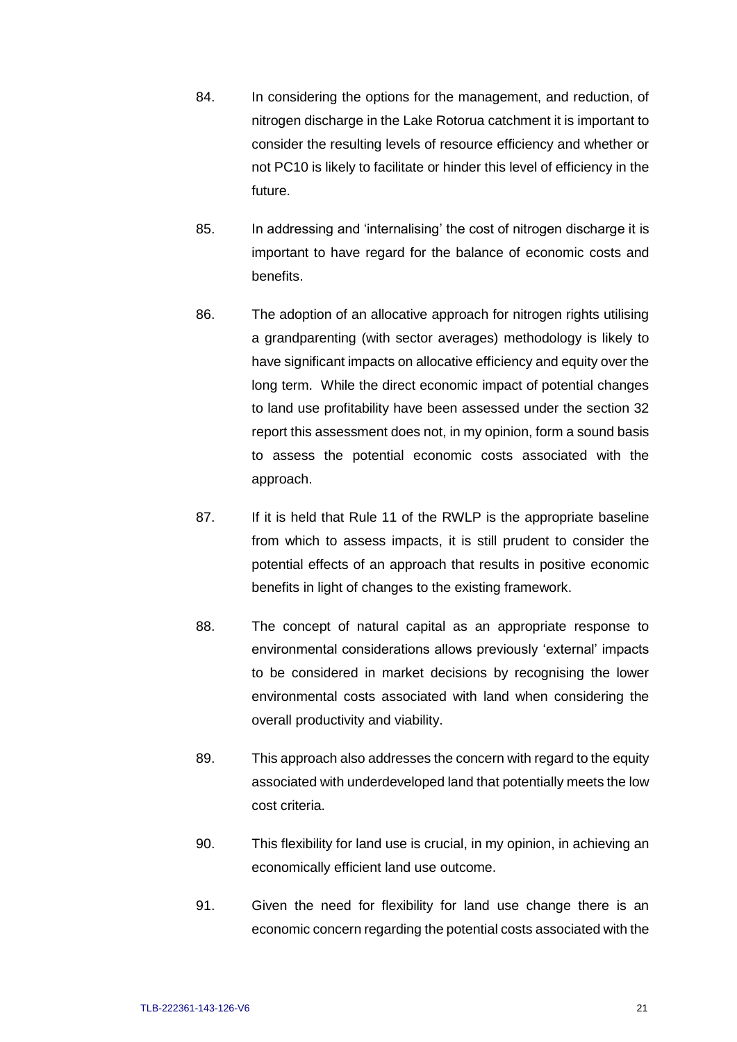- 84. In considering the options for the management, and reduction, of nitrogen discharge in the Lake Rotorua catchment it is important to consider the resulting levels of resource efficiency and whether or not PC10 is likely to facilitate or hinder this level of efficiency in the future.
- 85. In addressing and 'internalising' the cost of nitrogen discharge it is important to have regard for the balance of economic costs and benefits.
- 86. The adoption of an allocative approach for nitrogen rights utilising a grandparenting (with sector averages) methodology is likely to have significant impacts on allocative efficiency and equity over the long term. While the direct economic impact of potential changes to land use profitability have been assessed under the section 32 report this assessment does not, in my opinion, form a sound basis to assess the potential economic costs associated with the approach.
- 87. If it is held that Rule 11 of the RWLP is the appropriate baseline from which to assess impacts, it is still prudent to consider the potential effects of an approach that results in positive economic benefits in light of changes to the existing framework.
- 88. The concept of natural capital as an appropriate response to environmental considerations allows previously 'external' impacts to be considered in market decisions by recognising the lower environmental costs associated with land when considering the overall productivity and viability.
- 89. This approach also addresses the concern with regard to the equity associated with underdeveloped land that potentially meets the low cost criteria.
- 90. This flexibility for land use is crucial, in my opinion, in achieving an economically efficient land use outcome.
- 91. Given the need for flexibility for land use change there is an economic concern regarding the potential costs associated with the